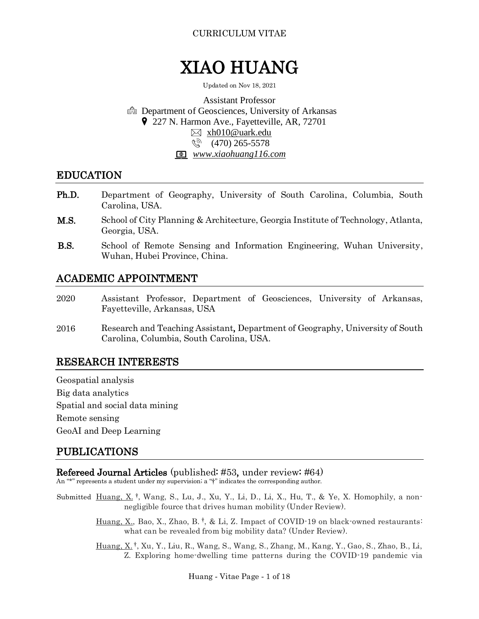# XIAO HUANG

Updated on Nov 18, 2021

Assistant Professor **negarian:** Department of Geosciences, University of Arkansas 9 227 N. Harmon Ave., Fayetteville, AR, 72701 [xh010@uark.edu](mailto:xh010@uark.edu) しら (470) 265-5578 *www.xiaohuang116.com*

# EDUCATION

- Department of Geography, University of South Carolina, Columbia, South Carolina, USA. Ph.D.
- School of City Planning & Architecture, Georgia Institute of Technology, Atlanta, Georgia, USA. M.S.
- School of Remote Sensing and Information Engineering, Wuhan University, Wuhan, Hubei Province, China. B.S.

# ACADEMIC APPOINTMENT

- Assistant Professor, Department of Geosciences, University of Arkansas, Fayetteville, Arkansas, USA 2020
- Research and Teaching Assistant, Department of Geography, University of South Carolina, Columbia, South Carolina, USA. 2016

# RESEARCH INTERESTS

Geospatial analysis Big data analytics Spatial and social data mining Remote sensing GeoAI and Deep Learning

# PUBLICATIONS

## Refereed Journal Articles (published: #53, under review: #64)

An "\*" represents a student under my supervision; a "†" indicates the corresponding author.

- Submitted Huang, X.<sup>†</sup>, Wang, S., Lu, J., Xu, Y., Li, D., Li, X., Hu, T., & Ye, X. Homophily, a nonnegligible fource that drives human mobility (Under Review).
	- Huang, X., Bao, X., Zhao, B.<sup>†</sup>, & Li, Z. Impact of COVID-19 on black-owned restaurants: what can be revealed from big mobility data? (Under Review).
	- Huang, X. † , Xu, Y., Liu, R., Wang, S., Wang, S., Zhang, M., Kang, Y., Gao, S., Zhao, B., Li, Z. Exploring home-dwelling time patterns during the COVID-19 pandemic via

Huang - Vitae Page - 1 of 18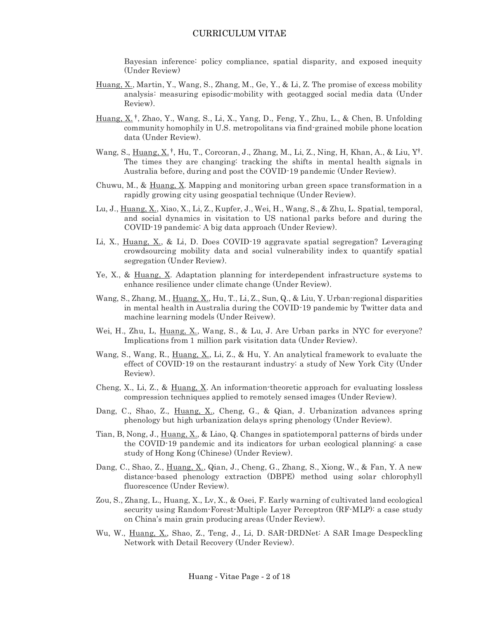Bayesian inference: policy compliance, spatial disparity, and exposed inequity (Under Review)

- Huang, X., Martin, Y., Wang, S., Zhang, M., Ge, Y., & Li, Z. The promise of excess mobility analysis: measuring episodic-mobility with geotagged social media data (Under Review).
- Huang, X. † , Zhao, Y., Wang, S., Li, X., Yang, D., Feng, Y., Zhu, L., & Chen, B. Unfolding community homophily in U.S. metropolitans via find-grained mobile phone location data (Under Review).
- Wang, S., Huang, X.<sup>†</sup>, Hu, T., Corcoran, J., Zhang, M., Li, Z., Ning, H, Khan, A., & Liu, Y<sup>†</sup>. The times they are changing: tracking the shifts in mental health signals in Australia before, during and post the COVID-19 pandemic (Under Review).
- Chuwu, M., & Huang, X. Mapping and monitoring urban green space transformation in a rapidly growing city using geospatial technique (Under Review).
- Lu, J., Huang, X., Xiao, X., Li, Z., Kupfer, J., Wei, H., Wang, S., & Zhu, L. Spatial, temporal, and social dynamics in visitation to US national parks before and during the COVID-19 pandemic: A big data approach (Under Review).
- Li, X., Huang, X., & Li, D. Does COVID-19 aggravate spatial segregation? Leveraging crowdsourcing mobility data and social vulnerability index to quantify spatial segregation (Under Review).
- Ye, X., & Huang, X. Adaptation planning for interdependent infrastructure systems to enhance resilience under climate change (Under Review).
- Wang, S., Zhang, M., Huang, X., Hu, T., Li, Z., Sun, Q., & Liu, Y. Urban-regional disparities in mental health in Australia during the COVID-19 pandemic by Twitter data and machine learning models (Under Reivew).
- Wei, H., Zhu, L., Huang, X., Wang, S., & Lu, J. Are Urban parks in NYC for everyone? Implications from 1 million park visitation data (Under Review).
- Wang, S., Wang, R., Huang, X., Li, Z., & Hu, Y. An analytical framework to evaluate the effect of COVID-19 on the restaurant industry: a study of New York City (Under Review).
- Cheng, X., Li, Z., & Huang, X. An information-theoretic approach for evaluating lossless compression techniques applied to remotely sensed images (Under Review).
- Dang, C., Shao, Z., Huang, X., Cheng, G., & Qian, J. Urbanization advances spring phenology but high urbanization delays spring phenology (Under Review).
- Tian, B, Nong, J., Huang, X., & Liao, Q. Changes in spatiotemporal patterns of birds under the COVID-19 pandemic and its indicators for urban ecological planning: a case study of Hong Kong (Chinese) (Under Review).
- Dang, C., Shao, Z., Huang, X., Qian, J., Cheng, G., Zhang, S., Xiong, W., & Fan, Y. A new distance-based phenology extraction (DBPE) method using solar chlorophyll fluorescence (Under Review).
- Zou, S., Zhang, L., Huang, X., Lv, X., & Osei, F. Early warning of cultivated land ecological security using Random-Forest-Multiple Layer Perceptron (RF-MLP): a case study on China's main grain producing areas (Under Review).
- Wu, W., Huang, X., Shao, Z., Teng, J., Li, D. SAR-DRDNet: A SAR Image Despeckling Network with Detail Recovery (Under Review).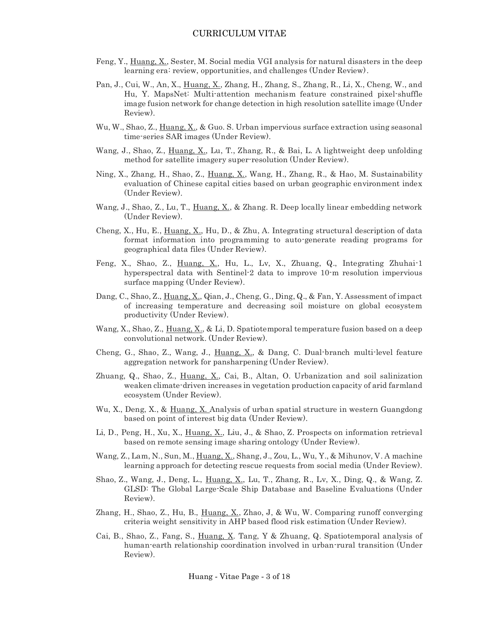- Feng, Y., Huang, X., Sester, M. Social media VGI analysis for natural disasters in the deep learning era: review, opportunities, and challenges (Under Review).
- Pan, J., Cui, W., An, X., Huang, X., Zhang, H., Zhang, S., Zhang, R., Li, X., Cheng, W., and Hu, Y. MapsNet: Multi-attention mechanism feature constrained pixel-shuffle image fusion network for change detection in high resolution satellite image (Under Review).
- Wu, W., Shao, Z., Huang, X., & Guo. S. Urban impervious surface extraction using seasonal time-series SAR images (Under Review).
- Wang, J., Shao, Z., Huang, X., Lu, T., Zhang, R., & Bai, L. A lightweight deep unfolding method for satellite imagery super-resolution (Under Review).
- Ning, X., Zhang, H., Shao, Z., Huang, X., Wang, H., Zhang, R., & Hao, M. Sustainability evaluation of Chinese capital cities based on urban geographic environment index (Under Review).
- Wang, J., Shao, Z., Lu, T., Huang, X., & Zhang. R. Deep locally linear embedding network (Under Review).
- Cheng, X., Hu, E., Huang, X., Hu, D., & Zhu, A. Integrating structural description of data format information into programming to auto-generate reading programs for geographical data files (Under Review).
- Feng, X., Shao, Z., Huang, X., Hu, L., Lv, X., Zhuang, Q., Integrating Zhuhai-1 hyperspectral data with Sentinel-2 data to improve 10-m resolution impervious surface mapping (Under Review).
- Dang, C., Shao, Z., Huang, X., Qian, J., Cheng, G., Ding, Q., & Fan, Y. Assessment of impact of increasing temperature and decreasing soil moisture on global ecosystem productivity (Under Review).
- Wang, X., Shao, Z., Huang, X., & Li, D. Spatiotemporal temperature fusion based on a deep convolutional network. (Under Review).
- Cheng, G., Shao, Z., Wang, J., Huang, X., & Dang, C. Dual-branch multi-level feature aggregation network for pansharpening (Under Review).
- Zhuang, Q., Shao, Z., Huang, X., Cai, B., Altan, O. Urbanization and soil salinization weaken climate-driven increases in vegetation production capacity of arid farmland ecosystem (Under Review).
- Wu, X., Deng, X., & Huang, X. Analysis of urban spatial structure in western Guangdong based on point of interest big data (Under Review).
- Li, D., Peng, H., Xu, X., Huang, X., Liu, J., & Shao, Z. Prospects on information retrieval based on remote sensing image sharing ontology (Under Review).
- Wang, Z., Lam, N., Sun, M., Huang, X., Shang, J., Zou, L., Wu, Y., & Mihunov, V. A machine learning approach for detecting rescue requests from social media (Under Review).
- Shao, Z., Wang, J., Deng, L., Huang, X., Lu, T., Zhang, R., Lv, X., Ding, Q., & Wang, Z. GLSD: The Global Large-Scale Ship Database and Baseline Evaluations (Under Review).
- Zhang, H., Shao, Z., Hu, B., Huang, X., Zhao, J, & Wu, W. Comparing runoff converging criteria weight sensitivity in AHP based flood risk estimation (Under Review).
- Cai, B., Shao, Z., Fang, S., Huang, X. Tang, Y & Zhuang, Q. Spatiotemporal analysis of human-earth relationship coordination involved in urban-rural transition (Under Review).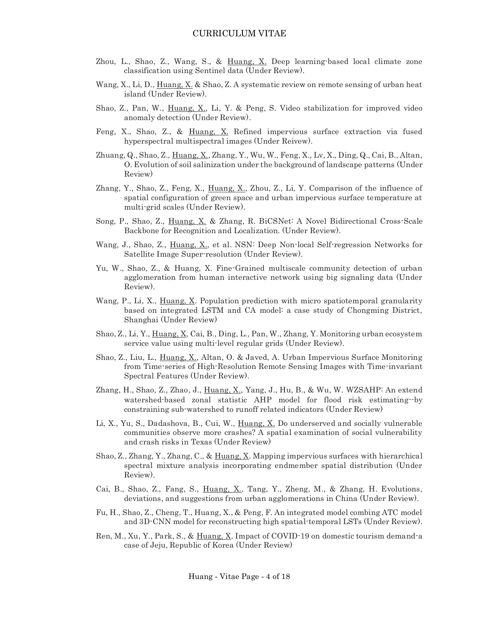- Zhou, L., Shao, Z., Wang, S., & Huang, X. Deep learning-based local climate zone classification using Sentinel data (Under Review).
- Wang, X., Li, D., Huang, X. & Shao, Z. A systematic review on remote sensing of urban heat island (Under Review).
- Shao, Z., Pan, W., Huang, X., Li, Y. & Peng, S. Video stabilization for improved video anomaly detection (Under Review).
- Feng, X., Shao, Z., & Huang, X. Refined impervious surface extraction via fused hyperspectral multispectral images (Under Reivew).
- Zhuang, Q., Shao, Z., Huang, X., Zhang, Y., Wu, W., Feng, X., Lv, X., Ding, Q., Cai, B., Altan, O. Evolution of soil salinization under the background of landscape patterns (Under Review)
- Zhang, Y., Shao, Z., Feng, X., Huang, X., Zhou, Z., Li, Y. Comparison of the influence of spatial configuration of green space and urban impervious surface temperature at multi-grid scales (Under Review).
- Song, P., Shao, Z., Huang, X. & Zhang, R. BiCSNet: A Novel Bidirectional Cross-Scale Backbone for Recognition and Localization. (Under Review).
- Wang, J., Shao, Z., Huang, X., et al. NSN: Deep Non-local Self-regression Networks for Satellite Image Super-resolution (Under Review).
- Yu, W., Shao, Z., & Huang, X. Fine-Grained multiscale community detection of urban agglomeration from human interactive network using big signaling data (Under Review).
- Wang, P., Li, X., Huang, X. Population prediction with micro spatiotemporal granularity based on integrated LSTM and CA model: a case study of Chongming District, Shanghai (Under Review)
- Shao, Z., Li, Y., Huang, X, Cai, B., Ding, L., Pan, W., Zhang, Y. Monitoring urban ecosystem service value using multi-level regular grids (Under Review).
- Shao, Z., Liu, L., Huang, X., Altan, O. & Javed, A. Urban Impervious Surface Monitoring from Time-series of High-Resolution Remote Sensing Images with Time-invariant Spectral Features (Under Review).
- Zhang, H., Shao, Z., Zhao, J., Huang, X., Yang, J., Hu, B., & Wu, W. WZSAHP: An extend watershed-based zonal statistic AHP model for flood risk estimating--by constraining sub-watershed to runoff related indicators (Under Review)
- Li, X., Yu, S., Dadashova, B., Cui, W., Huang, X. Do underserved and socially vulnerable communities observe more crashes? A spatial examination of social vulnerability and crash risks in Texas (Under Review)
- Shao, Z., Zhang, Y., Zhang, C., & Huang, X. Mapping impervious surfaces with hierarchical spectral mixture analysis incorporating endmember spatial distribution (Under Review).
- Cai, B., Shao, Z., Fang, S., Huang, X., Tang, Y., Zheng, M., & Zhang, H. Evolutions, deviations, and suggestions from urban agglomerations in China (Under Review).
- Fu, H., Shao, Z., Cheng, T., Huang, X., & Peng, F. An integrated model combing ATC model and 3D-CNN model for reconstructing high spatial-temporal LSTs (Under Review).
- Ren, M., Xu, Y., Park, S., & Huang, X. Impact of COVID-19 on domestic tourism demand-a case of Jeju, Republic of Korea (Under Review)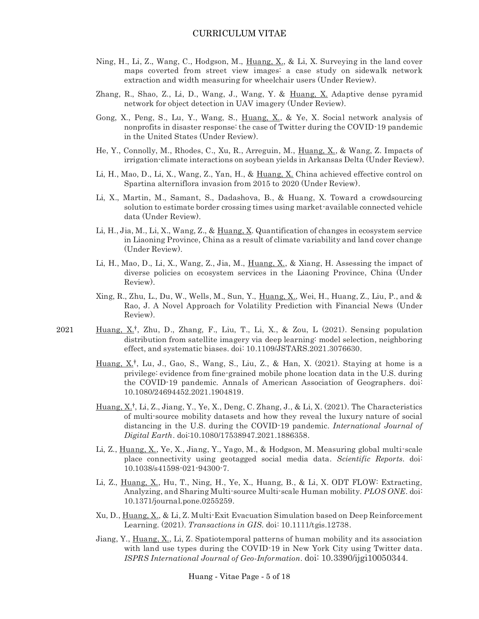- Ning, H., Li, Z., Wang, C., Hodgson, M., Huang, X., & Li, X. Surveying in the land cover maps coverted from street view images: a case study on sidewalk network extraction and width measuring for wheelchair users (Under Review).
- Zhang, R., Shao, Z., Li, D., Wang, J., Wang, Y. & Huang, X. Adaptive dense pyramid network for object detection in UAV imagery (Under Review).
- Gong, X., Peng, S., Lu, Y., Wang, S., Huang, X., & Ye, X. Social network analysis of nonprofits in disaster response: the case of Twitter during the COVID-19 pandemic in the United States (Under Review).
- He, Y., Connolly, M., Rhodes, C., Xu, R., Arreguin, M., Huang, X., & Wang, Z. Impacts of irrigation-climate interactions on soybean yields in Arkansas Delta (Under Review).
- Li, H., Mao, D., Li, X., Wang, Z., Yan, H., & Huang, X. China achieved effective control on Spartina alterniflora invasion from 2015 to 2020 (Under Review).
- Li, X., Martin, M., Samant, S., Dadashova, B., & Huang, X. Toward a crowdsourcing solution to estimate border crossing times using market-available connected vehicle data (Under Review).
- Li, H., Jia, M., Li, X., Wang, Z., & Huang, X. Quantification of changes in ecosystem service in Liaoning Province, China as a result of climate variability and land cover change (Under Review).
- Li, H., Mao, D., Li, X., Wang, Z., Jia, M., Huang, X., & Xiang, H. Assessing the impact of diverse policies on ecosystem services in the Liaoning Province, China (Under Review).
- Xing, R., Zhu, L., Du, W., Wells, M., Sun, Y., Huang, X., Wei, H., Huang, Z., Liu, P., and & Rao, J. A Novel Approach for Volatility Prediction with Financial News (Under Review).
- Huang,  $X^{\dagger}$ , Zhu, D., Zhang, F., Liu, T., Li, X., & Zou, L (2021). Sensing population distribution from satellite imagery via deep learning: model selection, neighboring effect, and systematic biases. doi: [10.1109/JSTARS.2021.3076630.](http://dx.doi.org/10.1109/JSTARS.2021.3076630) 2021
	- Huang,  $X_t^{\dagger}$ , Lu, J., Gao, S., Wang, S., Liu, Z., & Han, X. (2021). Staying at home is a privilege: evidence from fine-grained mobile phone location data in the U.S. during the COVID-19 pandemic. Annals of American Association of Geographers. doi: [10.1080/24694452.2021.1904819.](https://www.researchgate.net/deref/http%3A%2F%2Fdx.doi.org%2F10.1080%2F24694452.2021.1904819?_sg%5B0%5D=Cp9A0FYV5shKIGb1suqEBIjIOaIXHme-xzlhAWqlmin-sOgxTu-9Exm5ZhqkGMCUI3ohgORX0Va3RrnFHbmBdsL_sg.UK2n5MlbJ7xeRFMc5JcXz3te-L2rcPlAW4uTfy41Qrl0Cnsau_litoqH08N3ABTvLTkcVFurY40rO7CUvgQPRQ)
	- Huang,  $X_t$ <sup>†</sup>, Li, Z., Jiang, Y., Ye, X., Deng, C. Zhang, J., & Li, X. (2021). The Characteristics of multi-source mobility datasets and how they reveal the luxury nature of social distancing in the U.S. during the COVID-19 pandemic. *International Journal of Digital Earth*. doi[:10.1080/17538947.2021.1886358.](https://www.researchgate.net/deref/http%3A%2F%2Fdx.doi.org%2F10.1080%2F17538947.2021.1886358?_sg%5B0%5D=-uIJ7kN2Bdh3g1OqnLYGFlE2ccpM2MoEnJIH_shoaS5IFNHYnxtlS68yhmXKzCOKcjLxfM-Gy79iP--lKQeQd5mh4g.7jRHwCbUJWmGix4DsXnpSlClXDZGXbfQJ9N15OPbm9RlN5Ii4Ry9eX-Lvl5MZaRgofoyc1xz6aU2mq4q3AFRqA)
	- Li, Z., Huang, X., Ye, X., Jiang, Y., Yago, M., & Hodgson, M. Measuring global multi-scale place connectivity using geotagged social media data. *Scientific Reports*. doi: [10.1038/s41598-021-94300-7.](https://www.nature.com/articles/s41598-021-94300-7)
	- Li, Z., Huang, X., Hu, T., Ning, H., Ye, X., Huang, B., & Li, X. ODT FLOW: Extracting, Analyzing, and Sharing Multi-source Multi-scale Human mobility. *PLOS ONE*. doi: 10.1371/journal.pone.0255259.
	- Xu, D., Huang, X., & Li, Z. Multi-Exit Evacuation Simulation based on Deep Reinforcement Learning. (2021). *Transactions in GIS*. doi: [10.1111/tgis.12738.](https://www.researchgate.net/deref/http%3A%2F%2Fdx.doi.org%2F10.1111%2Ftgis.12738?_sg%5B0%5D=bs8B-VNc7LKgobKyI315tCLK1WoHM4GvJJVEPu0RqBlsuIKBnSyX2XKYj_KrqWUuLDfcfh1FjSxFN53iXynt3WQjQA.PNepMsLC-jAdf_8hSRu4RrGhEL1Af-K2fa3E4qIYyo11EwSPGuLefDdgtehs2NuezidxutIE9IVmIgJjq6Zd8g)
	- Jiang, Y., Huang, X., Li, Z. Spatiotemporal patterns of human mobility and its association with land use types during the COVID-19 in New York City using Twitter data. *ISPRS International Journal of Geo-Information*. doi: [10.3390/ijgi10050344](https://doi.org/10.3390/ijgi10050344).

Huang - Vitae Page - 5 of 18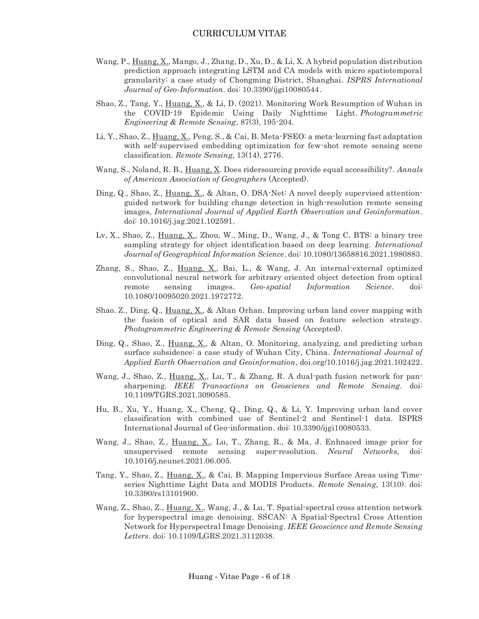- Wang, P., Huang, X., Mango, J., Zhang, D., Xu, D., & Li, X. A hybrid population distribution prediction approach integrating LSTM and CA models with micro spatiotemporal granularity: a case study of Chongming District, Shanghai. *ISPRS International Journal of Geo-Information*. doi: [10.3390/ijgi10080544.](http://dx.doi.org/10.3390/ijgi10080544)
- Shao, Z., Tang, Y., Huang, X., & Li, D. (2021). Monitoring Work Resumption of Wuhan in the COVID-19 Epidemic Using Daily Nighttime Light. *Photogrammetric Engineering & Remote Sensing*, 87(3), 195-204.
- Li, Y., Shao, Z., Huang, X., Peng, S., & Cai, B. Meta-FSEO: a meta-learning fast adaptation with self-supervised embedding optimization for few-shot remote sensing scene classification. *Remote Sensing*, 13(14), 2776.
- Wang, S., Noland, R. B., Huang, X. Does ridersourcing provide equal accessibility?. *Annals of American Association of Geographers* (Accepted).
- Ding, Q., Shao, Z., Huang, X., & Altan, O. DSA-Net: A novel deeply supervised attentionguided network for building change detection in high-resolution remote sensing images, *International Journal of Applied Earth Observation and Geoinformation*. doi: [10.1016/j.jag.2021.102591.](http://dx.doi.org/10.1016/j.jag.2021.102591)
- Lv, X., Shao, Z., Huang, X., Zhou, W., Ming, D., Wang, J., & Tong C. BTS: a binary tree sampling strategy for object identification based on deep learning. *International Journal of Geographical Information Science*. doi: 10.1080/13658816.2021.1980883.
- Zhang, S., Shao, Z., Huang, X., Bai, L., & Wang, J. An internal-external optimized convolutional neural network for arbitrary oriented object detection from optical remote sensing images. *Geo-spatial Information Science.* doi: [10.1080/10095020.2021.1972772.](http://dx.doi.org/10.1080/10095020.2021.1972772)
- Shao. Z., Ding, Q., Huang, X., & Altan Orhan. Improving urban land cover mapping with the fusion of optical and SAR data based on feature selection strategy. *Photogrammetric Engineering & Remote Sensing* (Accepted).
- Ding, Q., Shao, Z., Huang, X., & Altan, O. Monitoring, analyzing, and predicting urban surface subsidence: a case study of Wuhan City, China. *International Journal of Applied Earth Observation and Geoinformation*, doi.org/10.1016/j.jag.2021.102422.
- Wang, J., Shao, Z., Huang, X., Lu, T., & Zhang, R. A dual-path fusion network for pansharpening. *IEEE Transactions on Geoscienes and Remote Sensing.* doi: 10.1109/TGRS.2021.3090585.
- Hu, B., Xu, Y., Huang, X., Cheng, Q., Ding, Q., & Li, Y. Improving urban land cover classification with combined use of Sentinel-2 and Sentinel-1 data. ISPRS International Journal of Geo-information. doi: 10.3390/ijgi10080533.
- Wang, J., Shao, Z., Huang, X., Lu, T., Zhang, R., & Ma, J. Enhnaced image prior for unsupervised remote sensing super-resolution. *Neural Networks*, doi: 10.1016/j.neunet.2021.06.005.
- Tang, Y., Shao, Z., Huang, X., & Cai, B. Mapping Impervious Surface Areas using Timeseries Nighttime Light Data and MODIS Products. *Remote Sensing*, 13(10). doi: 10.3390/rs13101900.
- Wang, Z., Shao, Z., Huang, X., Wang, J., & Lu, T. Spatial-spectral cross attention network for hyperspectral image denoising. SSCAN: A Spatial-Spectral Cross Attention Network for Hyperspectral Image Denoising. *IEEE Geoscience and Remote Sensing Letters*. doi: [10.1109/LGRS.2021.3112038.](https://doi.org/10.1109/LGRS.2021.3112038)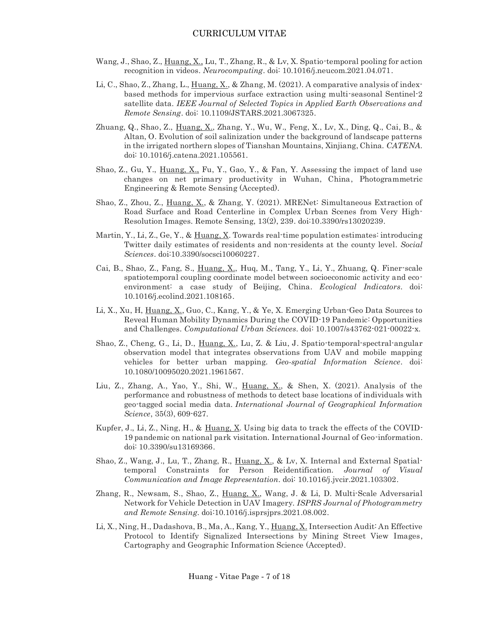- Wang, J., Shao, Z., Huang, X., Lu, T., Zhang, R., & Lv, X. Spatio-temporal pooling for action recognition in videos. *Neurocomputing*. doi: [10.1016/j.neucom.2021.04.071.](http://dx.doi.org/10.1016/j.neucom.2021.04.071)
- Li, C., Shao, Z., Zhang, L.,  $\underline{Huang, X.}$ , & Zhang, M. (2021). A comparative analysis of indexbased methods for impervious surface extraction using multi-seasonal Sentinel-2 satellite data. *IEEE Journal of Selected Topics in Applied Earth Observations and Remote Sensing*. doi: [10.1109/JSTARS.2021.3067325.](https://www.researchgate.net/deref/http%3A%2F%2Fdx.doi.org%2F10.1109%2FJSTARS.2021.3067325?_sg%5B0%5D=WmOMBn62bmtr64MaRLdoGcUpJf_-bUgYPo92H_3XvfZUpVfxnMWzEEsFSmylxSIh3JraugeB40-meooWjPUdMNVBaQ.1XYK5Nm9gC8Jb6sBiwaJaO5sT8Qs1Qd1-g1fzx_GBWhMbcLXVwMey0j8Erg-BtcZ8R3H2xXfbAT47D1bmT3qaw)
- Zhuang, Q., Shao, Z., Huang, X., Zhang, Y., Wu, W., Feng, X., Lv, X., Ding, Q., Cai, B., & Altan, O. Evolution of soil salinization under the background of landscape patterns in the irrigated northern slopes of Tianshan Mountains, Xinjiang, China. *CATENA.* doi: [10.1016/j.catena.2021.105561.](http://dx.doi.org/10.1016/j.catena.2021.105561)
- Shao, Z., Gu, Y., Huang, X., Fu, Y., Gao, Y., & Fan, Y. Assessing the impact of land use changes on net primary productivity in Wuhan, China, Photogrammetric Engineering & Remote Sensing (Accepted).
- Shao, Z., Zhou, Z., Huang, X., & Zhang, Y. (2021). MRENet: Simultaneous Extraction of Road Surface and Road Centerline in Complex Urban Scenes from Very High-Resolution Images. Remote Sensing, 13(2), 239. doi:10.3390/rs13020239.
- Martin, Y., Li, Z., Ge, Y., & Huang, X. Towards real-time population estimates: introducing Twitter daily estimates of residents and non-residents at the county level. *Social Sciences*. doi:10.3390/socsci10060227.
- Cai, B., Shao, Z., Fang, S., Huang, X., Huq, M., Tang, Y., Li, Y., Zhuang, Q. Finer-scale spatiotemporal coupling coordinate model between socioeconomic activity and ecoenvironment: a case study of Beijing, China. *Ecological Indicators*. doi: [10.1016/j.ecolind.2021.108165.](http://dx.doi.org/10.1016/j.ecolind.2021.108165)
- Li, X., Xu, H, Huang, X., Guo, C., Kang, Y., & Ye, X. Emerging Urban-Geo Data Sources to Reveal Human Mobility Dynamics During the COVID-19 Pandemic: Opportunities and Challenges. *Computational Urban Sciences*. doi[: 10.1007/s43762-021-00022-x.](http://dx.doi.org/10.1007/s43762-021-00022-x)
- Shao, Z., Cheng, G., Li, D., Huang, X., Lu, Z. & Liu, J. Spatio-temporal-spectral-angular observation model that integrates observations from UAV and mobile mapping vehicles for better urban mapping. *Geo-spatial Information Science*. doi: 10.1080/10095020.2021.1961567.
- Liu, Z., Zhang, A., Yao, Y., Shi, W., Huang,  $X<sub>1</sub>$ , & Shen, X. (2021). Analysis of the performance and robustness of methods to detect base locations of individuals with geo-tagged social media data. *International Journal of Geographical Information Science*, 35(3), 609-627.
- Kupfer, J., Li, Z., Ning, H., & Huang, X. Using big data to track the effects of the COVID-19 pandemic on national park visitation. International Journal of Geo-information. doi: 10.3390/su13169366.
- Shao, Z., Wang, J., Lu, T., Zhang, R., Huang, X., & Lv, X. Internal and External Spatialtemporal Constraints for Person Reidentification. *Journal of Visual Communication and Image Representation*. doi: 10.1016/j.jvcir.2021.103302.
- Zhang, R., Newsam, S., Shao, Z., Huang, X., Wang, J. & Li, D. Multi-Scale Adversarial Network for Vehicle Detection in UAV Imagery. *ISPRS Journal of Photogrammetry and Remote Sensing*. doi:10.1016/j.isprsjprs.2021.08.002.
- Li, X., Ning, H., Dadashova, B., Ma, A., Kang, Y., Huang, X. Intersection Audit: An Effective Protocol to Identify Signalized Intersections by Mining Street View Images, Cartography and Geographic Information Science (Accepted).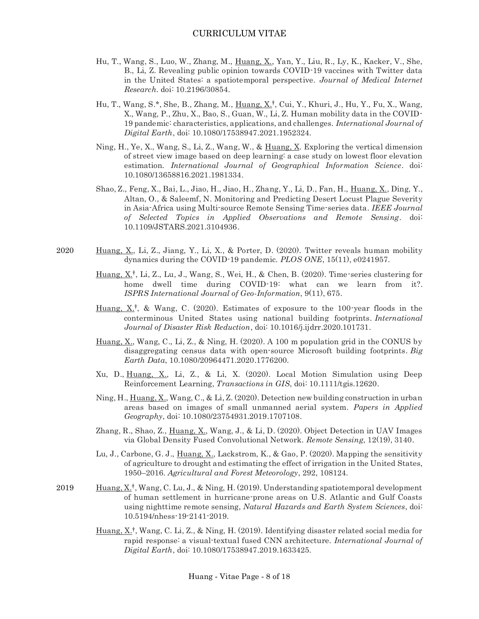- Hu, T., Wang, S., Luo, W., Zhang, M., Huang, X., Yan, Y., Liu, R., Ly, K., Kacker, V., She, B., Li, Z. Revealing public opinion towards COVID-19 vaccines with Twitter data in the United States: a spatiotemporal perspective. *Journal of Medical Internet Research*. doi: [10.2196/30854.](http://dx.doi.org/10.2196/30854)
- Hu, T., Wang, S.\*, She, B., Zhang, M., Huang, X.<sup>†</sup>, Cui, Y., Khuri, J., Hu, Y., Fu, X., Wang, X., Wang, P., Zhu, X., Bao, S., Guan, W., Li, Z. Human mobility data in the COVID-19 pandemic: characteristics, applications, and challenges. *International Journal of Digital Earth*, doi: 10.1080/17538947.2021.1952324.
- Ning, H., Ye, X., Wang, S., Li, Z., Wang, W., & Huang, X. Exploring the vertical dimension of street view image based on deep learning: a case study on lowest floor elevation estimation*. International Journal of Geographical Information Science*. doi: [10.1080/13658816.2021.1981334.](http://dx.doi.org/10.1080/13658816.2021.1981334)
- Shao, Z., Feng, X., Bai, L., Jiao, H., Jiao, H., Zhang, Y., Li, D., Fan, H., Huang, X., Ding, Y., Altan, O., & Saleemf, N. Monitoring and Predicting Desert Locust Plague Severity in Asia-Africa using Multi-source Remote Sensing Time-series data. *IEEE Journal of Selected Topics in Applied Observations and Remote Sensing.* doi: [10.1109/JSTARS.2021.3104936.](http://dx.doi.org/10.1109/JSTARS.2021.3104936)
- Huang, X., Li, Z., Jiang, Y., Li, X., & Porter, D. (2020). Twitter reveals human mobility dynamics during the COVID-19 pandemic. *PLOS ONE*, 15(11), e0241957. 2020
	- Huang,  $X_t^{\dagger}$ , Li, Z., Lu, J., Wang, S., Wei, H., & Chen, B. (2020). Time-series clustering for home dwell time during COVID-19: what can we learn from it?. *ISPRS International Journal of Geo-Information*, 9(11), 675.
	- Huang,  $X^{\dagger}$ , & Wang, C. (2020). Estimates of exposure to the 100-year floods in the conterminous United States using national building footprints. *International Journal of Disaster Risk Reduction*, doi: 10.1016/j.ijdrr.2020.101731.
	- Huang, X., Wang, C., Li, Z., & Ning, H. (2020). A 100 m population grid in the CONUS by disaggregating census data with open-source Microsoft building footprints. *Big Earth Data*, 10.1080/20964471.2020.1776200.
	- Xu, D., Huang, X., Li, Z., & Li, X. (2020). Local Motion Simulation using Deep Reinforcement Learning, *Transactions in GIS*, doi: 10.1111/tgis.12620.
	- Ning, H., Huang, X., Wang, C., & Li, Z. (2020). Detection new building construction in urban areas based on images of small unmanned aerial system. *Papers in Applied Geography*, doi: [10.1080/23754931.2019.1707108.](https://doi.org/10.1080/23754931.2019.1707108)
	- Zhang, R., Shao, Z., Huang, X., Wang, J., & Li, D. (2020). Object Detection in UAV Images via Global Density Fused Convolutional Network. *Remote Sensing*, 12(19), 3140.
	- Lu, J., Carbone, G. J., Huang, X., Lackstrom, K., & Gao, P. (2020). Mapping the sensitivity of agriculture to drought and estimating the effect of irrigation in the United States, 1950–2016. *Agricultural and Forest Meteorology*, 292, 108124.
- Huang, X<sup>†</sup>, Wang, C. Lu, J., & Ning, H. (2019). Understanding spatiotemporal development of human settlement in hurricane-prone areas on U.S. Atlantic and Gulf Coasts using nighttime remote sensing, *Natural Hazards and Earth System Sciences*, doi: 10.5194/nhess-19-2141-2019. 2019
	- Huang,  $X_t^{\dagger}$ , Wang, C. Li, Z., & Ning, H. (2019). Identifying disaster related social media for rapid response: a visual-textual fused CNN architecture. *International Journal of Digital Earth*, doi: 10.1080/17538947.2019.1633425.

Huang - Vitae Page - 8 of 18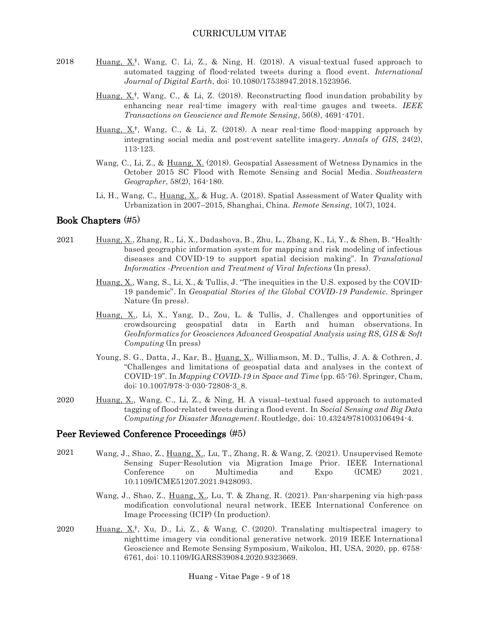- Huang,  $X^{\dagger}$ , Wang, C. Li, Z., & Ning, H. (2018). A visual-textual fused approach to automated tagging of flood-related tweets during a flood event. *International Journal of Digital Earth*, doi: 10.1080/17538947.2018.1523956. 2018
	- Huang,  $X^{\dagger}$ , Wang, C., & Li, Z. (2018). Reconstructing flood inundation probability by enhancing near real-time imagery with real-time gauges and tweets. *IEEE Transactions on Geoscience and Remote Sensing*, 56(8), 4691-4701.
	- Huang,  $X^{\dagger}$ , Wang, C., & Li, Z. (2018). A near real-time flood-mapping approach by integrating social media and post-event satellite imagery. *Annals of GIS*, 24(2), 113-123.
	- Wang, C., Li, Z., & Huang, X. (2018). Geospatial Assessment of Wetness Dynamics in the October 2015 SC Flood with Remote Sensing and Social Media. *Southeastern Geographer*, 58(2), 164-180.
	- Li, H., Wang, C., Huang, X., & Hug, A. (2018). Spatial Assessment of Water Quality with Urbanization in 2007–2015, Shanghai, China. *Remote Sensing*, 10(7), 1024.

#### Book Chapters (#5)

- Huang, X., Zhang, R., Li, X., Dadashova, B., Zhu, L., Zhang, K., Li, Y., & Shen, B. "Healthbased geographic information system for mapping and risk modeling of infectious diseases and COVID-19 to support spatial decision making". In *Translational Informatics -Prevention and Treatment of Viral Infections* (In press). 2021
	- Huang, X., Wang, S., Li, X., & Tullis, J. "The inequities in the U.S. exposed by the COVID-19 pandemic". In *Geospatial Stories of the Global COVID-19 Pandemic*. Springer Nature (In press).
	- Huang, X., Li, X., Yang, D., Zou, L. & Tullis, J. Challenges and opportunities of crowdsourcing geospatial data in Earth and human observations. In *GeoInformatics for Geosciences Advanced Geospatial Analysis using RS, GIS & Soft Computing* (In press)
	- Young, S. G., Datta, J., Kar, B., Huang, X., Williamson, M. D., Tullis, J. A. & Cothren, J. "Challenges and limitations of geospatial data and analyses in the context of COVID-19". In *Mapping COVID-19 in Space and Time* (pp. 65-76). Springer, Cham, doi: 10.1007/978-3-030-72808-3\_8.
- Huang, X., Wang, C., Li, Z., & Ning, H. A visual–textual fused approach to automated tagging of flood-related tweets during a flood event. In *Social Sensing and Big Data Computing for Disaster Management*. Routledge, doi: [10.4324/9781003106494-4.](http://dx.doi.org/10.4324/9781003106494-4) 2020

#### Peer Reviewed Conference Proceedings (#5)

- Wang, J., Shao, Z., Huang, X., Lu, T., Zhang, R. & Wang, Z. (2021). Unsupervised Remote Sensing Super-Resolution via Migration Image Prior. IEEE International Conference on Multimedia and Expo (ICME) 2021. [10.1109/ICME51207.2021.9428093.](https://doi.org/10.1109/ICME51207.2021.9428093) 2021
	- Wang, J., Shao, Z., Huang, X., Lu, T. & Zhang, R. (2021). Pan-sharpening via high-pass modification convolutional neural network. IEEE International Conference on Image Processing (ICIP) (In production).
- Huang,  $X^{\dagger}$ , Xu, D., Li, Z., & Wang, C. (2020). Translating multispectral imagery to nighttime imagery via conditional generative network. 2019 IEEE International Geoscience and Remote Sensing Symposium, Waikoloa, HI, USA, 2020, pp. 6758- 6761, doi: 10.1109/IGARSS39084.2020.9323669. 2020

Huang - Vitae Page - 9 of 18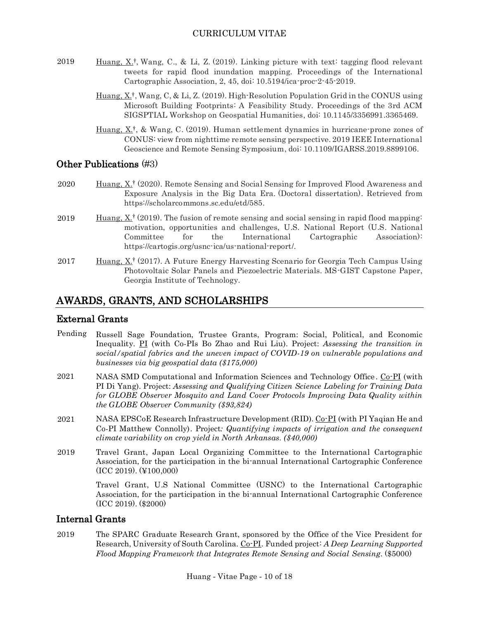- Huang,  $X^{\dagger}$ , Wang, C., & Li, Z. (2019). Linking picture with text: tagging flood relevant tweets for rapid flood inundation mapping. Proceedings of the International Cartographic Association, 2, 45, doi: 10.5194/ica-proc-2-45-2019. 2019
	- Huang,  $X_t^{\dagger}$ , Wang, C, & Li, Z. (2019). High-Resolution Population Grid in the CONUS using Microsoft Building Footprints: A Feasibility Study. Proceedings of the 3rd ACM SIGSPTIAL Workshop on Geospatial Humanities, doi: 10.1145/3356991.3365469.
	- Huang, X<sup>†</sup>, & Wang, C. (2019). Human settlement dynamics in hurricane-prone zones of CONUS: view from nighttime remote sensing perspective. 2019 IEEE International Geoscience and Remote Sensing Symposium, doi: [10.1109/IGARSS.2019.8899106.](https://doi.org/10.1109/IGARSS.2019.8899106)

## Other Publications (#3)

- Huang, X<sup>†</sup> (2020). Remote Sensing and Social Sensing for Improved Flood Awareness and Exposure Analysis in the Big Data Era. (Doctoral dissertation). Retrieved from [https://scholarcommons.sc.edu/etd/585.](https://scholarcommons.sc.edu/etd/585) 2020
- Huang,  $X^{\dagger}$  (2019). The fusion of remote sensing and social sensing in rapid flood mapping: motivation, opportunities and challenges, U.S. National Report (U.S. National Committee for the International Cartographic Association): [https://cartogis.org/usnc-ica/us-national-report/.](https://cartogis.org/usnc-ica/us-national-report/) 2019
- Huang, X<sup>†</sup> (2017). A Future Energy Harvesting Scenario for Georgia Tech Campus Using Photovoltaic Solar Panels and Piezoelectric Materials. MS-GIST Capstone Paper, Georgia Institute of Technology. 2017

# AWARDS, GRANTS, AND SCHOLARSHIPS

#### External Grants

- Russell Sage Foundation, Trustee Grants, Program: Social, Political, and Economic Inequality. PI (with Co-PIs Bo Zhao and Rui Liu). Project: *Assessing the transition in social/spatial fabrics and the uneven impact of COVID-19 on vulnerable populations and businesses via big geospatial data (\$175,000)* Pending
- NASA SMD Computational and Information Sciences and Technology Office . Co-PI (with PI Di Yang). Project: *Assessing and Qualifying Citizen Science Labeling for Training Data for GLOBE Observer Mosquito and Land Cover Protocols Improving Data Quality within the GLOBE Observer Community (\$93,824)* 2021
- NASA EPSCoE Research Infrastructure Development (RID). Co-PI (with PI Yaqian He and Co-PI Matthew Connolly). Project*: Quantifying impacts of irrigation and the consequent climate variability on crop yield in North Arkansas. (\$40,000)* 2021
- Travel Grant, Japan Local Organizing Committee to the International Cartographic Association, for the participation in the bi-annual International Cartographic Conference (ICC 2019). (¥100,000) 2019

Travel Grant, U.S National Committee (USNC) to the International Cartographic Association, for the participation in the bi-annual International Cartographic Conference (ICC 2019). (\$2000)

#### Internal Grants

The SPARC Graduate Research Grant, sponsored by the Office of the Vice President for Research, University of South Carolina. Co-PI. Funded project: *A Deep Learning Supported Flood Mapping Framework that Integrates Remote Sensing and Social Sensing*. (\$5000) 2019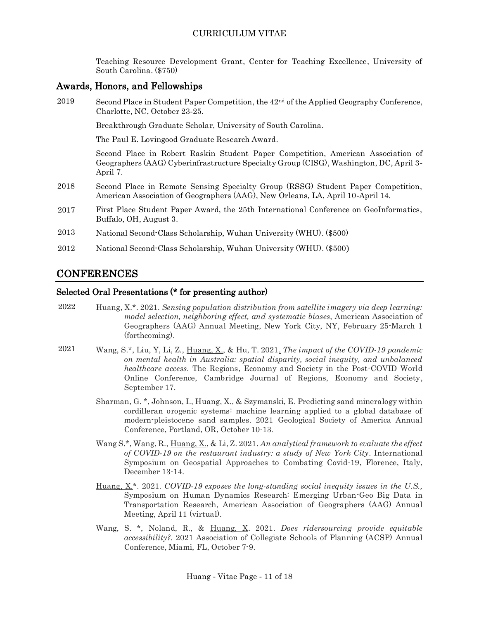Teaching Resource Development Grant, Center for Teaching Excellence, University of South Carolina. (\$750)

#### Awards, Honors, and Fellowships

Second Place in Student Paper Competition, the 42nd of the Applied Geography Conference, Charlotte, NC, October 23-25. 2019

Breakthrough Graduate Scholar, University of South Carolina.

The Paul E. Lovingood Graduate Research Award.

Second Place in Robert Raskin Student Paper Competition, American Association of Geographers (AAG) Cyberinfrastructure Specialty Group (CISG), Washington, DC, April 3- April 7.

- Second Place in Remote Sensing Specialty Group (RSSG) Student Paper Competition, American Association of Geographers (AAG), New Orleans, LA, April 10-April 14. 2018
- First Place Student Paper Award, the 25th International Conference on GeoInformatics, Buffalo, OH, August 3. 2017
- National Second-Class Scholarship, Wuhan University (WHU). (\$500) 2013
- National Second-Class Scholarship, Wuhan University (WHU). (\$500) 2012

## CONFERENCES

#### Selected Oral Presentations (\* for presenting author)

- Huang, X.\*. 2021. *Sensing population distribution from satellite imagery via deep learning: model selection, neighboring effect, and systematic biases*, American Association of Geographers (AAG) Annual Meeting, New York City, NY, February 25-March 1 (forthcoming). 2022
- Wang, S.\*, Liu, Y, Li, Z., Huang, X., & Hu, T. 2021. *The impact of the COVID-19 pandemic on mental health in Australia: spatial disparity, social inequity, and unbalanced healthcare access*. The Regions, Economy and Society in the Post-COVID World Online Conference, Cambridge Journal of Regions, Economy and Society, September 17. 2021
	- Sharman, G. \*, Johnson, I., Huang, X., & Szymanski, E. Predicting sand mineralogy within cordilleran orogenic systems: machine learning applied to a global database of modern-pleistocene sand samples. 2021 Geological Society of America Annual Conference, Portland, OR, October 10-13*.*
	- Wang S.\*, Wang, R., Huang, X., & Li, Z. 2021. *An analytical framework to evaluate the effect of COVID-19 on the restaurant industry: a study of New York City*. International Symposium on Geospatial Approaches to Combating Covid-19, Florence, Italy, December 13-14.
	- Huang, X.\*. 2021. *COVID-19 exposes the long-standing social inequity issues in the U.S.,* Symposium on Human Dynamics Research: Emerging Urban-Geo Big Data in Transportation Research, American Association of Geographers (AAG) Annual Meeting, April 11 (virtual).
	- Wang, S. \*, Noland, R., & Huang, X. 2021. *Does ridersourcing provide equitable accessibility?*. 2021 Association of Collegiate Schools of Planning (ACSP) Annual Conference, Miami, FL, October 7-9.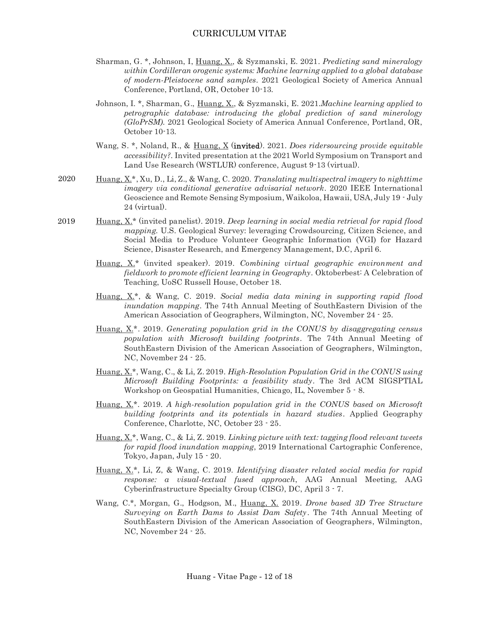- Sharman, G. \*, Johnson, I, Huang, X., & Syzmanski, E. 2021. *Predicting sand mineralogy within Cordilleran orogenic systems: Machine learning applied to a global database of modern-Pleistocene sand samples.* 2021 Geological Society of America Annual Conference, Portland, OR, October 10-13*.*
- Johnson, I. \*, Sharman, G., Huang, X., & Syzmanski, E. 2021.*Machine learning applied to petrographic database: introducing the global prediction of sand minerology (GloPrSM).* 2021 Geological Society of America Annual Conference, Portland, OR, October 10-13*.*
- Wang, S. \*, Noland, R., & Huang, X (invited). 2021. *Does ridersourcing provide equitable accessibility?*. Invited presentation at the 2021 World Symposium on Transport and Land Use Research (WSTLUR) conference, August 9-13 (virtual).
- Huang, X.\*, Xu, D., Li, Z., & Wang, C. 2020. *Translating multispectral imagery to nighttime imagery via conditional generative advisarial network*. 2020 IEEE International Geoscience and Remote Sensing Symposium, Waikoloa, Hawaii, USA, July 19 - July 24 (virtual).
- Huang, X.\* (invited panelist). 2019. *Deep learning in social media retrieval for rapid flood mapping.* U.S. Geological Survey: leveraging Crowdsourcing, Citizen Science, and Social Media to Produce Volunteer Geographic Information (VGI) for Hazard Science, Disaster Research, and Emergency Management, D.C, April 6. 2019
	- Huang, X.\* (invited speaker). 2019. *Combining virtual geographic environment and fieldwork to promote efficient learning in Geography*. Oktoberbest: A Celebration of Teaching, UoSC Russell House, October 18.
	- Huang, X.\*, & Wang, C. 2019. *Social media data mining in supporting rapid flood inundation mapping*. The 74th Annual Meeting of SouthEastern Division of the American Association of Geographers, Wilmington, NC, November 24 - 25.
	- Huang, X.\*. 2019. *Generating population grid in the CONUS by disaggregating census population with Microsoft building footprints*. The 74th Annual Meeting of SouthEastern Division of the American Association of Geographers, Wilmington, NC, November 24 - 25.
	- Huang, X.\*, Wang, C., & Li, Z. 2019. *High-Resolution Population Grid in the CONUS using Microsoft Building Footprints: a feasibility study*. The 3rd ACM SIGSPTIAL Workshop on Geospatial Humanities, Chicago, IL, November 5 - 8.
	- Huang, X.\*. 2019. *A high-resolution population grid in the CONUS based on Microsoft building footprints and its potentials in hazard studies*. Applied Geography Conference, Charlotte, NC, October 23 - 25.
	- Huang, X.\*, Wang, C., & Li, Z. 2019. *Linking picture with text: tagging flood relevant tweets for rapid flood inundation mapping*, 2019 International Cartographic Conference, Tokyo, Japan, July 15 - 20.
	- Huang, X.\*, Li, Z, & Wang, C. 2019. *Identifying disaster related social media for rapid response: a visual-textual fused approach*, AAG Annual Meeting, AAG Cyberinfrastructure Specialty Group (CISG), DC, April 3 - 7.
	- Wang, C.\*, Morgan, G., Hodgson, M., Huang, X. 2019. *Drone based 3D Tree Structure Surveying on Earth Dams to Assist Dam Safety*. The 74th Annual Meeting of SouthEastern Division of the American Association of Geographers, Wilmington, NC, November 24 - 25.

2020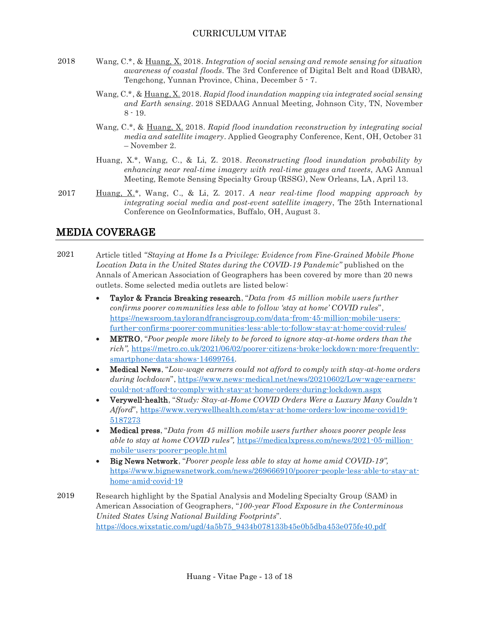- Wang, C.\*, & Huang, X. 2018. *Integration of social sensing and remote sensing for situation awareness of coastal floods*. The 3rd Conference of Digital Belt and Road (DBAR), Tengchong, Yunnan Province, China, December 5 - 7. 2018
	- Wang, C.\*, & Huang, X. 2018. *Rapid flood inundation mapping via integrated social sensing and Earth sensing*. 2018 SEDAAG Annual Meeting, Johnson City, TN, November 8 - 19.
	- Wang, C.\*, & Huang, X. 2018. *Rapid flood inundation reconstruction by integrating social media and satellite imagery*. Applied Geography Conference, Kent, OH, October 31 – November 2.
	- Huang, X.\*, Wang, C., & Li, Z. 2018. *Reconstructing flood inundation probability by enhancing near real-time imagery with real-time gauges and tweets*, AAG Annual Meeting, Remote Sensing Specialty Group (RSSG), New Orleans, LA, April 13.
- Huang, X.\*, Wang, C., & Li, Z. 2017. *A near real-time flood mapping approach by integrating social media and post-event satellite imagery*, The 25th International Conference on GeoInformatics, Buffalo, OH, August 3. 2017

# MEDIA COVERAGE

- Article titled *"Staying at Home Is a Privilege: Evidence from Fine-Grained Mobile Phone Location Data in the United States during the COVID-19 Pandemic"* published on the Annals of American Association of Geographers has been covered by more than 20 news outlets. Some selected media outlets are listed below: 2021
	- Taylor & Francis Breaking research, "*Data from 45 million mobile users further confirms poorer communities less able to follow 'stay at home' COVID rules*", [https://newsroom.taylorandfrancisgroup.com/data-from-45-million-mobile-users](https://newsroom.taylorandfrancisgroup.com/data-from-45-million-mobile-users-further-confirms-poorer-communities-less-able-to-follow-stay-at-home-covid-rules/)[further-confirms-poorer-communities-less-able-to-follow-stay-at-home-covid-rules/](https://newsroom.taylorandfrancisgroup.com/data-from-45-million-mobile-users-further-confirms-poorer-communities-less-able-to-follow-stay-at-home-covid-rules/)
	- METRO, "*Poor people more likely to be forced to ignore stay-at-home orders than the rich",* [https://metro.co.uk/2021/06/02/poorer-citizens-broke-lockdown-more-frequently](https://metro.co.uk/2021/06/02/poorer-citizens-broke-lockdown-more-frequently-smartphone-data-shows-14699764)[smartphone-data-shows-14699764.](https://metro.co.uk/2021/06/02/poorer-citizens-broke-lockdown-more-frequently-smartphone-data-shows-14699764)
	- Medical News, "*Low-wage earners could not afford to comply with stay-at-home orders during lockdown*", [https://www.news-medical.net/news/20210602/Low-wage-earners](https://www.news-medical.net/news/20210602/Low-wage-earners-could-not-afford-to-comply-with-stay-at-home-orders-during-lockdown.aspx)[could-not-afford-to-comply-with-stay-at-home-orders-during-lockdown.aspx](https://www.news-medical.net/news/20210602/Low-wage-earners-could-not-afford-to-comply-with-stay-at-home-orders-during-lockdown.aspx)
	- Verywell-health, "*Study: Stay-at-Home COVID Orders Were a Luxury Many Couldn't Afford*", [https://www.verywellhealth.com/stay-at-home-orders-low-income-covid19-](https://www.verywellhealth.com/stay-at-home-orders-low-income-covid19-5187273) [5187273](https://www.verywellhealth.com/stay-at-home-orders-low-income-covid19-5187273)
	- Medical press, "*Data from 45 million mobile users further shows poorer people less able to stay at home COVID rules",* [https://medicalxpress.com/news/2021-05-million](https://medicalxpress.com/news/2021-05-million-mobile-users-poorer-people.html)[mobile-users-poorer-people.html](https://medicalxpress.com/news/2021-05-million-mobile-users-poorer-people.html)
	- Big News Network, "*Poorer people less able to stay at home amid COVID-19",*  [https://www.bignewsnetwork.com/news/269666910/poorer-people-less-able-to-stay-at](https://www.bignewsnetwork.com/news/269666910/poorer-people-less-able-to-stay-at-home-amid-covid-19)[home-amid-covid-19](https://www.bignewsnetwork.com/news/269666910/poorer-people-less-able-to-stay-at-home-amid-covid-19)
- Research highlight by the Spatial Analysis and Modeling Specialty Group (SAM) in American Association of Geographers, "*100-year Flood Exposure in the Conterminous United States Using National Building Footprints*". [https://docs.wixstatic.com/ugd/4a5b75\\_9434b078133b45e0b5dba453e075fe40.pdf](https://docs.wixstatic.com/ugd/4a5b75_9434b078133b45e0b5dba453e075fe40.pdf) 2019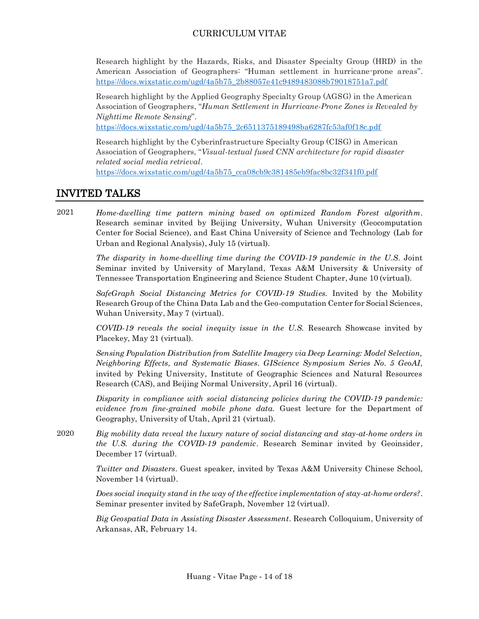Research highlight by the Hazards, Risks, and Disaster Specialty Group (HRD) in the American Association of Geographers: "Human settlement in hurricane-prone areas". [https://docs.wixstatic.com/ugd/4a5b75\\_2b88057e41c9489483088b79018751a7.pdf](https://docs.wixstatic.com/ugd/4a5b75_2b88057e41c9489483088b79018751a7.pdf)

Research highlight by the Applied Geography Specialty Group (AGSG) in the American Association of Geographers, "*Human Settlement in Hurricane-Prone Zones is Revealed by Nighttime Remote Sensing*".

[https://docs.wixstatic.com/ugd/4a5b75\\_2c6511375189498ba6287fc53af0f18c.pdf](https://docs.wixstatic.com/ugd/4a5b75_2c6511375189498ba6287fc53af0f18c.pdf)

Research highlight by the Cyberinfrastructure Specialty Group (CISG) in American Association of Geographers, "*Visual-textual fused CNN architecture for rapid disaster related social media retrieval*. [https://docs.wixstatic.com/ugd/4a5b75\\_cca08cb9c381485eb9fac8bc32f341f0.pdf](https://docs.wixstatic.com/ugd/4a5b75_cca08cb9c381485eb9fac8bc32f341f0.pdf)

## INVITED TALKS

*Home-dwelling time pattern mining based on optimized Random Forest algorithm*. Research seminar invited by Beijing University, Wuhan University (Geocomputation Center for Social Science), and East China University of Science and Technology (Lab for Urban and Regional Analysis), July 15 (virtual). 2021

> *The disparity in home-dwelling time during the COVID-19 pandemic in the U.S.* Joint Seminar invited by University of Maryland, Texas A&M University & University of Tennessee Transportation Engineering and Science Student Chapter, June 10 (virtual).

> *SafeGraph Social Distancing Metrics for COVID-19 Studies.* Invited by the Mobility Research Group of the China Data Lab and the Geo-computation Center for Social Sciences, Wuhan University, May 7 (virtual).

> *COVID-19 reveals the social inequity issue in the U.S.* Research Showcase invited by Placekey, May 21 (virtual)*.*

> *Sensing Population Distribution from Satellite Imagery via Deep Learning: Model Selection, Neighboring Effects, and Systematic Biases. GIScience Symposium Series No. 5 GeoAI,*  invited by Peking University, Institute of Geographic Sciences and Natural Resources Research (CAS), and Beijing Normal University, April 16 (virtual).

> *Disparity in compliance with social distancing policies during the COVID-19 pandemic: evidence from fine-grained mobile phone data.* Guest lecture for the Department of Geography, University of Utah, April 21 (virtual).

*Big mobility data reveal the luxury nature of social distancing and stay-at-home orders in the U.S. during the COVID-19 pandemic*. Research Seminar invited by Geoinsider, December 17 (virtual). 2020

> *Twitter and Disasters*. Guest speaker, invited by Texas A&M University Chinese School, November 14 (virtual).

> *Does social inequity stand in the way of the effective implementation of stay-at-home orders?*. Seminar presenter invited by SafeGraph, November 12 (virtual).

> *Big Geospatial Data in Assisting Disaster Assessment*. Research Colloquium, University of Arkansas, AR, February 14.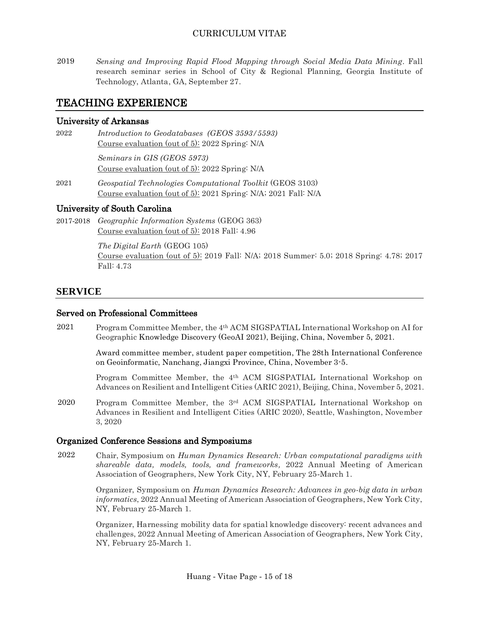*Sensing and Improving Rapid Flood Mapping through Social Media Data Mining*. Fall research seminar series in School of City & Regional Planning, Georgia Institute of Technology, Atlanta, GA, September 27. 2019

## TEACHING EXPERIENCE

#### University of Arkansas

*Introduction to Geodatabases (GEOS 3593/5593)* Course evaluation (out of 5): 2022 Spring: N/A 2022

> *Seminars in GIS (GEOS 5973)* Course evaluation (out of 5): 2022 Spring: N/A

*Geospatial Technologies Computational Toolkit* (GEOS 3103) Course evaluation (out of 5): 2021 Spring: N/A; 2021 Fall: N/A 2021

## University of South Carolina

*Geographic Information Systems* (GEOG 363) 2017-2018 Course evaluation (out of 5): 2018 Fall: 4.96

> *The Digital Earth* (GEOG 105) Course evaluation (out of 5): 2019 Fall: N/A; 2018 Summer: 5.0; 2018 Spring: 4.78; 2017 Fall: 4.73

## **SERVICE**

#### Served on Professional Committees

Program Committee Member, the 4th ACM SIGSPATIAL International Workshop on AI for Geographic Knowledge Discovery (GeoAI 2021), Beijing, China, November 5, 2021. 2021

> Award committee member, student paper competition, The 28th International Conference on Geoinformatic, Nanchang, Jiangxi Province, China, November 3-5.

> Program Committee Member, the 4th ACM SIGSPATIAL International Workshop on Advances on Resilient and Intelligent Cities (ARIC 2021), Beijing, China, November 5, 2021.

Program Committee Member, the 3rd ACM SIGSPATIAL International Workshop on Advances in Resilient and Intelligent Cities (ARIC 2020), Seattle, Washington, November 3, 2020 2020

#### Organized Conference Sessions and Symposiums

Chair, Symposium on *Human Dynamics Research: Urban computational paradigms with shareable data, models, tools, and frameworks,* 2022 Annual Meeting of American Association of Geographers, New York City, NY, February 25-March 1. 2022

> Organizer, Symposium on *Human Dynamics Research: Advances in geo-big data in urban informatics*, 2022 Annual Meeting of American Association of Geographers, New York City, NY, February 25-March 1.

> Organizer, Harnessing mobility data for spatial knowledge discovery: recent advances and challenges, 2022 Annual Meeting of American Association of Geographers, New York City, NY, February 25-March 1.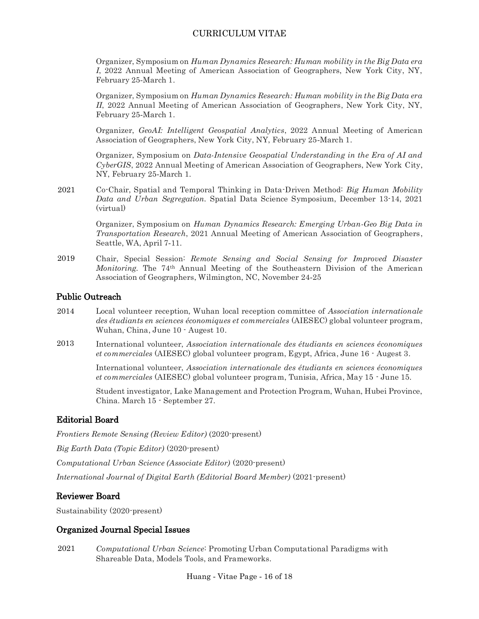Organizer, Symposium on *Human Dynamics Research: Human mobility in the Big Data era I*, 2022 Annual Meeting of American Association of Geographers, New York City, NY, February 25-March 1.

Organizer, Symposium on *Human Dynamics Research: Human mobility in the Big Data era II*, 2022 Annual Meeting of American Association of Geographers, New York City, NY, February 25-March 1.

Organizer, *GeoAI: Intelligent Geospatial Analytics*, 2022 Annual Meeting of American Association of Geographers, New York City, NY, February 25-March 1.

Organizer, Symposium on *Data-Intensive Geospatial Understanding in the Era of AI and CyberGIS*, 2022 Annual Meeting of American Association of Geographers, New York City, NY, February 25-March 1.

Co-Chair, Spatial and Temporal Thinking in Data-Driven Method: *Big Human Mobility Data and Urban Segregation.* Spatial Data Science Symposium, December 13-14, 2021 (virtual) 2021

> Organizer, Symposium on *Human Dynamics Research: Emerging Urban-Geo Big Data in Transportation Research*, 2021 Annual Meeting of American Association of Geographers, Seattle, WA, April 7-11.

Chair, Special Session: *Remote Sensing and Social Sensing for Improved Disaster Monitoring.* The 74th Annual Meeting of the Southeastern Division of the American Association of Geographers, Wilmington, NC, November 24-25 2019

#### Public Outreach

- Local volunteer reception, Wuhan local reception committee of *Association internationale des étudiants en sciences économiques et commerciales* (AIESEC) global volunteer program, Wuhan, China, June 10 - Augest 10. 2014
- International volunteer, *Association internationale des étudiants en sciences économiques et commerciales* (AIESEC) global volunteer program, Egypt, Africa, June 16 - Augest 3. 2013

International volunteer, *Association internationale des étudiants en sciences économiques et commerciales* (AIESEC) global volunteer program, Tunisia, Africa, May 15 - June 15.

Student investigator, Lake Management and Protection Program, Wuhan, Hubei Province, China. March 15 - September 27.

#### Editorial Board

*Frontiers Remote Sensing (Review Editor)* (2020-present) *Big Earth Data (Topic Editor)* (2020-present) *Computational Urban Science (Associate Editor)* (2020-present) *International Journal of Digital Earth (Editorial Board Member)* (2021-present)

#### Reviewer Board

Sustainability (2020-present)

#### Organized Journal Special Issues

*Computational Urban Science*: Promoting Urban Computational Paradigms with Shareable Data, Models Tools, and Frameworks. 2021

Huang - Vitae Page - 16 of 18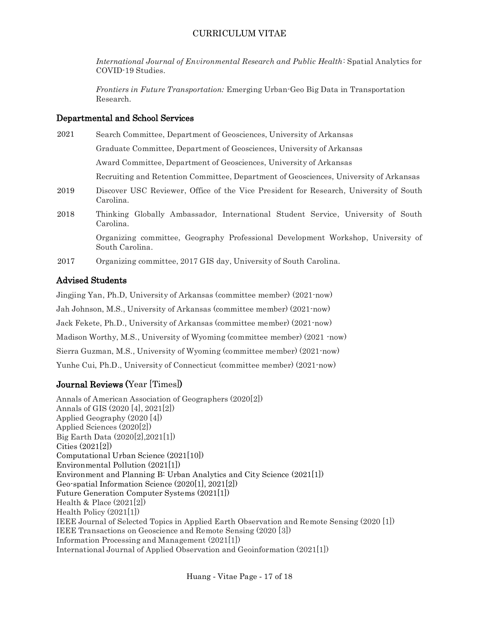*International Journal of Environmental Research and Public Health*: Spatial Analytics for COVID-19 Studies.

*Frontiers in Future Transportation:* Emerging Urban-Geo Big Data in Transportation Research.

#### Departmental and School Services

| 2021 | Search Committee, Department of Geosciences, University of Arkansas                                 |
|------|-----------------------------------------------------------------------------------------------------|
|      | Graduate Committee, Department of Geosciences, University of Arkansas                               |
|      | Award Committee, Department of Geosciences, University of Arkansas                                  |
|      | Recruiting and Retention Committee, Department of Geosciences, University of Arkansas               |
| 2019 | Discover USC Reviewer, Office of the Vice President for Research, University of South<br>Carolina.  |
| 2018 | Thinking Globally Ambassador, International Student Service, University of South<br>Carolina.       |
|      | Organizing committee, Geography Professional Development Workshop, University of<br>South Carolina. |
|      |                                                                                                     |

Organizing committee, 2017 GIS day, University of South Carolina. 2017

## Advised Students

Jingjing Yan, Ph.D, University of Arkansas (committee member) (2021-now)

Jah Johnson, M.S., University of Arkansas (committee member) (2021-now)

Jack Fekete, Ph.D., University of Arkansas (committee member) (2021-now)

Madison Worthy, M.S., University of Wyoming (committee member) (2021 -now)

Sierra Guzman, M.S., University of Wyoming (committee member) (2021-now)

Yunhe Cui, Ph.D., University of Connecticut (committee member) (2021-now)

## Journal Reviews (Year [Times])

Annals of American Association of Geographers (2020[2]) Annals of GIS (2020 [4], 2021[2]) Applied Geography (2020 [4]) Applied Sciences (2020[2]) Big Earth Data (2020[2],2021[1]) Cities (2021[2]) Computational Urban Science (2021[10]) Environmental Pollution (2021[1]) Environment and Planning B: Urban Analytics and City Science (2021[1]) Geo-spatial Information Science (2020[1], 2021[2]) Future Generation Computer Systems (2021[1]) Health & Place (2021[2]) Health Policy (2021[1]) IEEE Journal of Selected Topics in Applied Earth Observation and Remote Sensing (2020 [1]) IEEE Transactions on Geoscience and Remote Sensing (2020 [3]) Information Processing and Management (2021[1]) International Journal of Applied Observation and Geoinformation (2021[1])